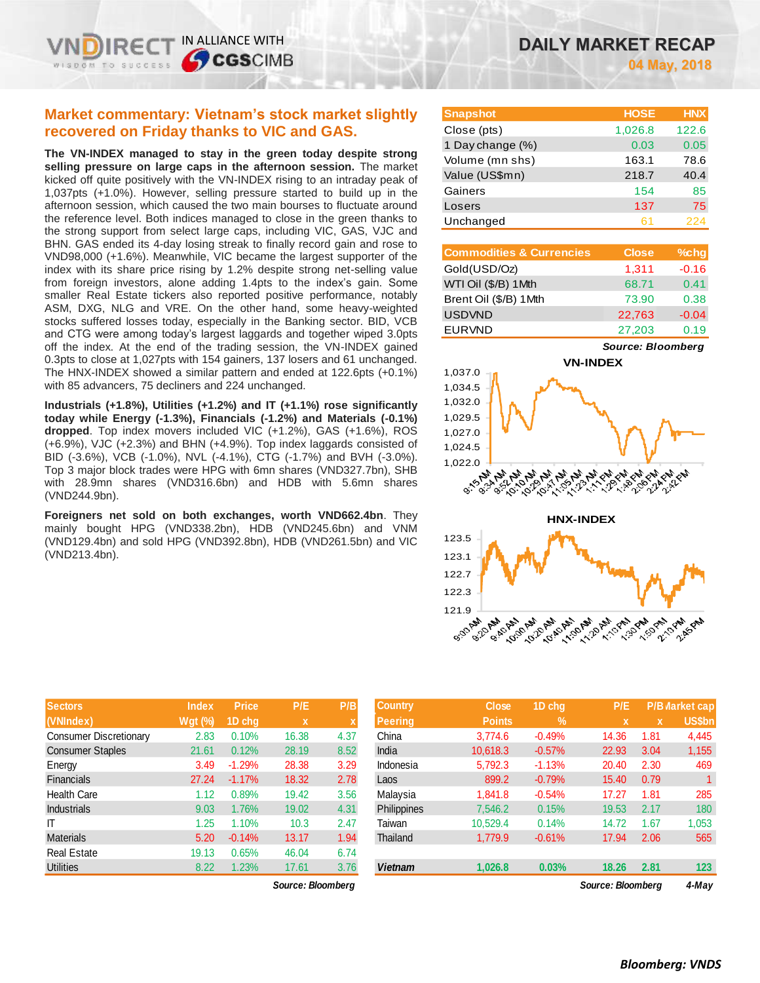IN ALLIANCE WITH

**CGSCIMB** 

**The VN-INDEX managed to stay in the green today despite strong selling pressure on large caps in the afternoon session.** The market kicked off quite positively with the VN-INDEX rising to an intraday peak of 1,037pts (+1.0%). However, selling pressure started to build up in the afternoon session, which caused the two main bourses to fluctuate around the reference level. Both indices managed to close in the green thanks to the strong support from select large caps, including VIC, GAS, VJC and BHN. GAS ended its 4-day losing streak to finally record gain and rose to VND98,000 (+1.6%). Meanwhile, VIC became the largest supporter of the index with its share price rising by 1.2% despite strong net-selling value from foreign investors, alone adding 1.4pts to the index's gain. Some smaller Real Estate tickers also reported positive performance, notably ASM, DXG, NLG and VRE. On the other hand, some heavy-weighted stocks suffered losses today, especially in the Banking sector. BID, VCB and CTG were among today's largest laggards and together wiped 3.0pts off the index. At the end of the trading session, the VN-INDEX gained 0.3pts to close at 1,027pts with 154 gainers, 137 losers and 61 unchanged. The HNX-INDEX showed a similar pattern and ended at 122.6pts (+0.1%) with 85 advancers, 75 decliners and 224 unchanged.

**Industrials (+1.8%), Utilities (+1.2%) and IT (+1.1%) rose significantly today while Energy (-1.3%), Financials (-1.2%) and Materials (-0.1%) dropped**. Top index movers included VIC (+1.2%), GAS (+1.6%), ROS (+6.9%), VJC (+2.3%) and BHN (+4.9%). Top index laggards consisted of BID (-3.6%), VCB (-1.0%), NVL (-4.1%), CTG (-1.7%) and BVH (-3.0%). Top 3 major block trades were HPG with 6mn shares (VND327.7bn), SHB with 28.9mn shares (VND316.6bn) and HDB with 5.6mn shares (VND244.9bn).

**Foreigners net sold on both exchanges, worth VND662.4bn**. They mainly bought HPG (VND338.2bn), HDB (VND245.6bn) and VNM (VND129.4bn) and sold HPG (VND392.8bn), HDB (VND261.5bn) and VIC (VND213.4bn).

| <b>Sectors</b>                | <b>Index</b>   | <b>Price</b> | P/E         | P/B         |
|-------------------------------|----------------|--------------|-------------|-------------|
| (VNIndex)                     | <b>Wgt (%)</b> | 1D chq       | $\mathbf x$ | $\mathbf x$ |
| <b>Consumer Discretionary</b> | 2.83           | 0.10%        | 16.38       | 4.37        |
| <b>Consumer Staples</b>       | 21.61          | 0.12%        | 28.19       | 8.52        |
| Energy                        | 3.49           | $-1.29%$     | 28.38       | 3.29        |
| <b>Financials</b>             | 27.24          | $-1.17%$     | 18.32       | 2.78        |
| <b>Health Care</b>            | 1.12           | 0.89%        | 19.42       | 3.56        |
| <b>Industrials</b>            | 9.03           | 1.76%        | 19.02       | 4.31        |
| ΙT                            | 1.25           | 1.10%        | 10.3        | 2.47        |
| <b>Materials</b>              | 5.20           | $-0.14%$     | 13.17       | 1.94        |
| <b>Real Estate</b>            | 19.13          | 0.65%        | 46.04       | 6.74        |
| <b>Utilities</b>              | 8.22           | 1.23%        | 17.61       | 3.76        |

*Source: Bloomberg Source: Bloomberg 4-May*

| <b>Snapshot</b>  | <b>HOSE</b> | <b>HNX</b> |
|------------------|-------------|------------|
| Close (pts)      | 1,026.8     | 122.6      |
| 1 Day change (%) | 0.03        | 0.05       |
| Volume (mn shs)  | 163.1       | 78.6       |
| Value (US\$mn)   | 218.7       | 40.4       |
| Gainers          | 154         | 85         |
| Losers           | 137         | 75         |
| Unchanged        | 61          | 224        |

| <b>Commodities &amp; Currencies</b> | <b>Close</b> | $%$ chg |
|-------------------------------------|--------------|---------|
| Gold(USD/Oz)                        | 1,311        | $-0.16$ |
| WTI Oil (\$/B) 1Mth                 | 68.71        | 0.41    |
| Brent Oil (\$/B) 1Mth               | 73.90        | 0.38    |
| <b>USDVND</b>                       | 22,763       | $-0.04$ |
| <b>EURVND</b>                       | 27,203       | 0.19    |

*Source: Bloomberg*





| <b>Sectors</b>         | <b>Index</b>   | <b>Price</b> | P/E         | P/B  | <b>Country</b>     | <b>Close</b>  | 1D chq            | P/E   |       | <b>P/B Market cap</b> |
|------------------------|----------------|--------------|-------------|------|--------------------|---------------|-------------------|-------|-------|-----------------------|
| (VNIndex)              | <b>Wat (%)</b> | 1D chq       | $\mathbf x$ |      | Peerina            | <b>Points</b> | $\frac{9}{6}$     | x     | x     | US\$bn                |
| Consumer Discretionary | 2.83           | 0.10%        | 16.38       | 4.37 | China              | 3.774.6       | $-0.49%$          | 14.36 | 1.81  | 4,445                 |
| Consumer Staples       | 21.61          | 0.12%        | 28.19       | 8.52 | India              | 10.618.3      | $-0.57%$          | 22.93 | 3.04  | 1,155                 |
| Energy                 | 3.49           | $-1.29%$     | 28.38       | 3.29 | Indonesia          | 5,792.3       | $-1.13%$          | 20.40 | 2.30  | 469                   |
| <b>Financials</b>      | 27.24          | $-1.17%$     | 18.32       | 2.78 | Laos               | 899.2         | $-0.79%$          | 15.40 | 0.79  |                       |
| Health Care            | 1.12           | 0.89%        | 19.42       | 3.56 | Malaysia           | 1.841.8       | $-0.54%$          | 17.27 | 1.81  | 285                   |
| Industrials            | 9.03           | 1.76%        | 19.02       | 4.31 | <b>Philippines</b> | 7,546.2       | 0.15%             | 19.53 | 2.17  | 180                   |
|                        | 1.25           | 1.10%        | 10.3        | 2.47 | Taiwan             | 10.529.4      | 0.14%             | 14.72 | .67   | 1,053                 |
| Materials              | 5.20           | $-0.14%$     | 13.17       | 1.94 | Thailand           | 1,779.9       | $-0.61%$          | 17.94 | 2.06  | 565                   |
| Real Estate            | 19.13          | 0.65%        | 46.04       | 6.74 |                    |               |                   |       |       |                       |
| Utilities              | 8.22           | 1.23%        | 17.61       | 3.76 | <b>Vietnam</b>     | 1,026.8       | 0.03%             | 18.26 | 2.81  | 123                   |
| Source: Bloomberg      |                |              |             |      |                    |               | Source: Bloomberg |       | 4-May |                       |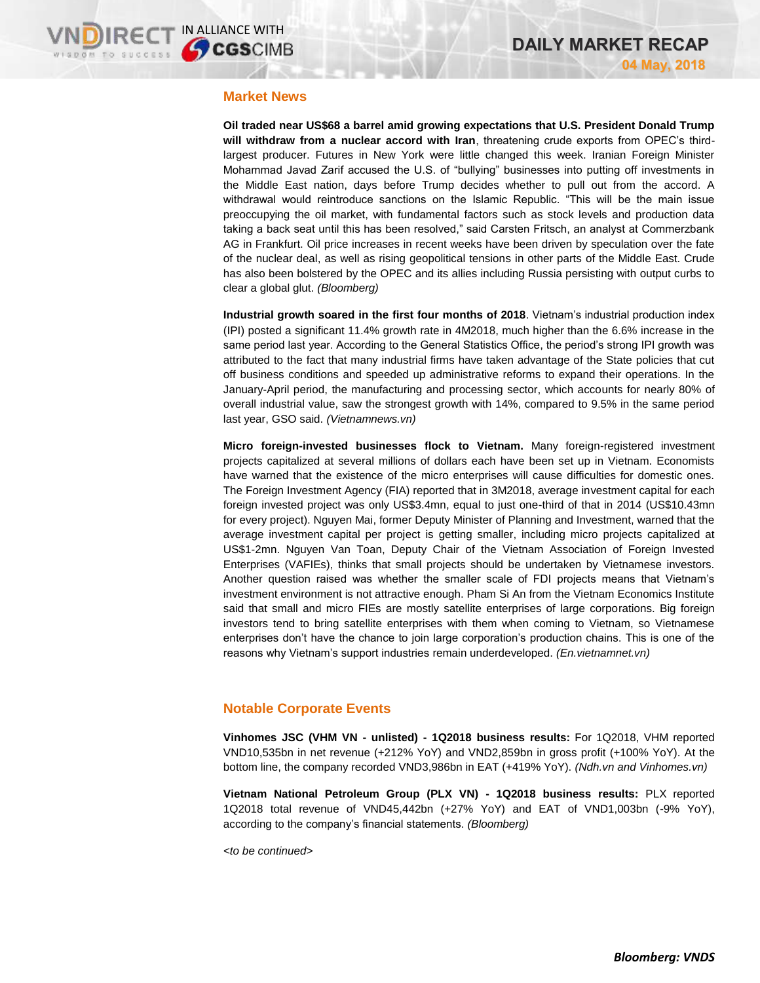## **Market News**

**Oil traded near US\$68 a barrel amid growing expectations that U.S. President Donald Trump will withdraw from a nuclear accord with Iran**, threatening crude exports from OPEC's thirdlargest producer. Futures in New York were little changed this week. Iranian Foreign Minister Mohammad Javad Zarif accused the U.S. of "bullying" businesses into putting off investments in the Middle East nation, days before Trump decides whether to pull out from the accord. A withdrawal would reintroduce sanctions on the Islamic Republic. "This will be the main issue preoccupying the oil market, with fundamental factors such as stock levels and production data taking a back seat until this has been resolved," said Carsten Fritsch, an analyst at Commerzbank AG in Frankfurt. Oil price increases in recent weeks have been driven by speculation over the fate of the nuclear deal, as well as rising geopolitical tensions in other parts of the Middle East. Crude has also been bolstered by the OPEC and its allies including Russia persisting with output curbs to clear a global glut. *(Bloomberg)*

**Industrial growth soared in the first four months of 2018**. Vietnam's industrial production index (IPI) posted a significant 11.4% growth rate in 4M2018, much higher than the 6.6% increase in the same period last year. According to the General Statistics Office, the period's strong IPI growth was attributed to the fact that many industrial firms have taken advantage of the State policies that cut off business conditions and speeded up administrative reforms to expand their operations. In the January-April period, the manufacturing and processing sector, which accounts for nearly 80% of overall industrial value, saw the strongest growth with 14%, compared to 9.5% in the same period last year, GSO said. *(Vietnamnews.vn)*

**Micro foreign-invested businesses flock to Vietnam.** Many foreign-registered investment projects capitalized at several millions of dollars each have been set up in Vietnam. Economists have warned that the existence of the micro enterprises will cause difficulties for domestic ones. The Foreign Investment Agency (FIA) reported that in 3M2018, average investment capital for each foreign invested project was only US\$3.4mn, equal to just one-third of that in 2014 (US\$10.43mn for every project). Nguyen Mai, former Deputy Minister of Planning and Investment, warned that the average investment capital per project is getting smaller, including micro projects capitalized at US\$1-2mn. Nguyen Van Toan, Deputy Chair of the Vietnam Association of Foreign Invested Enterprises (VAFIEs), thinks that small projects should be undertaken by Vietnamese investors. Another question raised was whether the smaller scale of FDI projects means that Vietnam's investment environment is not attractive enough. Pham Si An from the Vietnam Economics Institute said that small and micro FIEs are mostly satellite enterprises of large corporations. Big foreign investors tend to bring satellite enterprises with them when coming to Vietnam, so Vietnamese enterprises don't have the chance to join large corporation's production chains. This is one of the reasons why Vietnam's support industries remain underdeveloped. *(En.vietnamnet.vn)*

## **Notable Corporate Events**

**Vinhomes JSC (VHM VN - unlisted) - 1Q2018 business results:** For 1Q2018, VHM reported VND10,535bn in net revenue (+212% YoY) and VND2,859bn in gross profit (+100% YoY). At the bottom line, the company recorded VND3,986bn in EAT (+419% YoY). *(Ndh.vn and Vinhomes.vn)*

**Vietnam National Petroleum Group (PLX VN) - 1Q2018 business results:** PLX reported 1Q2018 total revenue of VND45,442bn (+27% YoY) and EAT of VND1,003bn (-9% YoY), according to the company's financial statements. *(Bloomberg)*

*<to be continued>*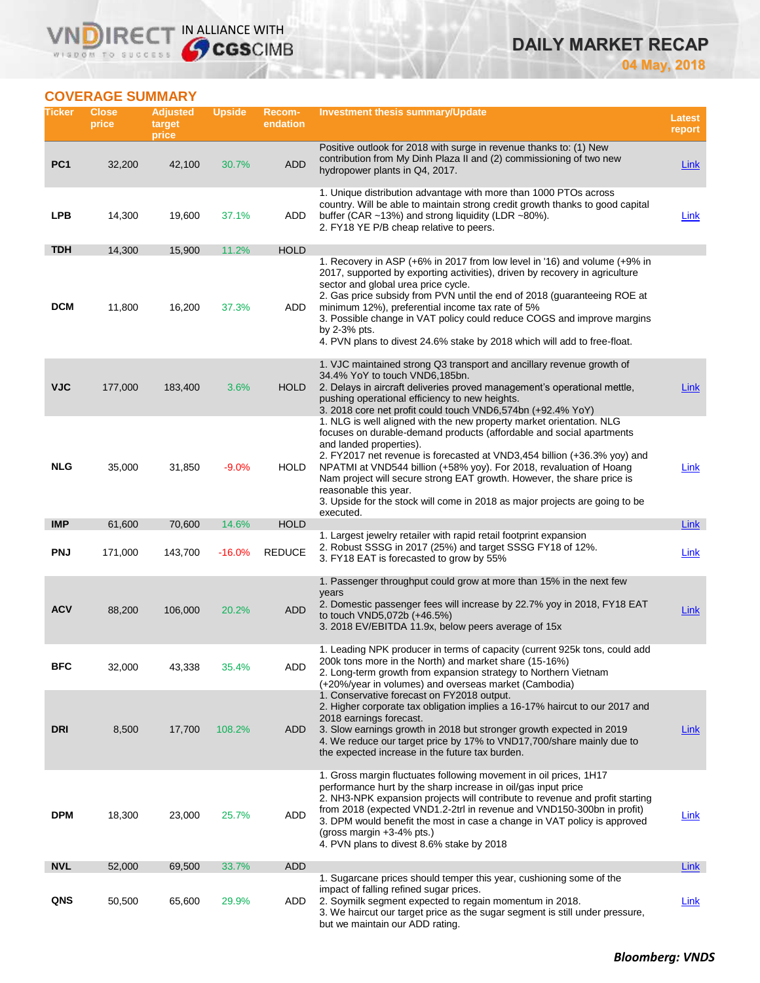# RECT IN ALLIANCE WITH VN WISDOM TO SUCCESS

# **DAILY MARKET RECAP**

**04 May, 2018**

# **COVERAGE SUMMARY**

| Ticker          | <b>Close</b><br>price | <b>Adjusted</b><br>target<br>price | <b>Upside</b> | Recom-<br>endation | <b>Investment thesis summary/Update</b>                                                                                                                                                                                                                                                                                                                                                                                                                                                                 | <b>Latest</b><br>report |
|-----------------|-----------------------|------------------------------------|---------------|--------------------|---------------------------------------------------------------------------------------------------------------------------------------------------------------------------------------------------------------------------------------------------------------------------------------------------------------------------------------------------------------------------------------------------------------------------------------------------------------------------------------------------------|-------------------------|
| PC <sub>1</sub> | 32,200                | 42,100                             | 30.7%         | <b>ADD</b>         | Positive outlook for 2018 with surge in revenue thanks to: (1) New<br>contribution from My Dinh Plaza II and (2) commissioning of two new<br>hydropower plants in Q4, 2017.                                                                                                                                                                                                                                                                                                                             | <b>Link</b>             |
| <b>LPB</b>      | 14,300                | 19,600                             | 37.1%         | ADD                | 1. Unique distribution advantage with more than 1000 PTOs across<br>country. Will be able to maintain strong credit growth thanks to good capital<br>buffer (CAR ~13%) and strong liquidity (LDR ~80%).<br>2. FY18 YE P/B cheap relative to peers.                                                                                                                                                                                                                                                      | Link                    |
| <b>TDH</b>      | 14,300                | 15,900                             | 11.2%         | <b>HOLD</b>        |                                                                                                                                                                                                                                                                                                                                                                                                                                                                                                         |                         |
| <b>DCM</b>      | 11,800                | 16,200                             | 37.3%         | ADD                | 1. Recovery in ASP (+6% in 2017 from low level in '16) and volume (+9% in<br>2017, supported by exporting activities), driven by recovery in agriculture<br>sector and global urea price cycle.<br>2. Gas price subsidy from PVN until the end of 2018 (guaranteeing ROE at<br>minimum 12%), preferential income tax rate of 5%<br>3. Possible change in VAT policy could reduce COGS and improve margins<br>by $2-3%$ pts.<br>4. PVN plans to divest 24.6% stake by 2018 which will add to free-float. |                         |
| <b>VJC</b>      | 177,000               | 183,400                            | 3.6%          | <b>HOLD</b>        | 1. VJC maintained strong Q3 transport and ancillary revenue growth of<br>34.4% YoY to touch VND6,185bn.<br>2. Delays in aircraft deliveries proved management's operational mettle,<br>pushing operational efficiency to new heights.<br>3. 2018 core net profit could touch VND6,574bn (+92.4% YoY)<br>1. NLG is well aligned with the new property market orientation. NLG<br>focuses on durable-demand products (affordable and social apartments<br>and landed properties).                         | Link                    |
| <b>NLG</b>      | 35,000                | 31,850                             | $-9.0%$       | <b>HOLD</b>        | 2. FY2017 net revenue is forecasted at VND3,454 billion (+36.3% yoy) and<br>NPATMI at VND544 billion (+58% yoy). For 2018, revaluation of Hoang<br>Nam project will secure strong EAT growth. However, the share price is<br>reasonable this year.<br>3. Upside for the stock will come in 2018 as major projects are going to be<br>executed.                                                                                                                                                          | Link                    |
| <b>IMP</b>      | 61,600                | 70,600                             | 14.6%         | <b>HOLD</b>        |                                                                                                                                                                                                                                                                                                                                                                                                                                                                                                         | Link                    |
| <b>PNJ</b>      | 171,000               | 143,700                            | $-16.0%$      | <b>REDUCE</b>      | 1. Largest jewelry retailer with rapid retail footprint expansion<br>2. Robust SSSG in 2017 (25%) and target SSSG FY18 of 12%.<br>3. FY18 EAT is forecasted to grow by 55%                                                                                                                                                                                                                                                                                                                              | Link                    |
| <b>ACV</b>      | 88,200                | 106,000                            | 20.2%         | <b>ADD</b>         | 1. Passenger throughput could grow at more than 15% in the next few<br>years<br>2. Domestic passenger fees will increase by 22.7% yoy in 2018, FY18 EAT<br>to touch VND5,072b (+46.5%)<br>3. 2018 EV/EBITDA 11.9x, below peers average of 15x                                                                                                                                                                                                                                                           | Link                    |
| BFC             | 32,000                | 43,338                             | 35.4%         | ADD                | 1. Leading NPK producer in terms of capacity (current 925k tons, could add<br>200k tons more in the North) and market share (15-16%)<br>2. Long-term growth from expansion strategy to Northern Vietnam<br>(+20%/year in volumes) and overseas market (Cambodia)                                                                                                                                                                                                                                        |                         |
| DRI             | 8,500                 | 17,700                             | 108.2%        | ADD.               | 1. Conservative forecast on FY2018 output.<br>2. Higher corporate tax obligation implies a 16-17% haircut to our 2017 and<br>2018 earnings forecast.<br>3. Slow earnings growth in 2018 but stronger growth expected in 2019<br>4. We reduce our target price by 17% to VND17,700/share mainly due to<br>the expected increase in the future tax burden.                                                                                                                                                | Link                    |
| <b>DPM</b>      | 18,300                | 23,000                             | 25.7%         | ADD                | 1. Gross margin fluctuates following movement in oil prices, 1H17<br>performance hurt by the sharp increase in oil/gas input price<br>2. NH3-NPK expansion projects will contribute to revenue and profit starting<br>from 2018 (expected VND1.2-2trl in revenue and VND150-300bn in profit)<br>3. DPM would benefit the most in case a change in VAT policy is approved<br>(gross margin +3-4% pts.)<br>4. PVN plans to divest 8.6% stake by 2018                                                      | Link                    |
| <b>NVL</b>      | 52,000                | 69,500                             | 33.7%         | <b>ADD</b>         |                                                                                                                                                                                                                                                                                                                                                                                                                                                                                                         | Link                    |
| QNS             | 50,500                | 65,600                             | 29.9%         | ADD                | 1. Sugarcane prices should temper this year, cushioning some of the<br>impact of falling refined sugar prices.<br>2. Soymilk segment expected to regain momentum in 2018.<br>3. We haircut our target price as the sugar segment is still under pressure,<br>but we maintain our ADD rating.                                                                                                                                                                                                            | Link                    |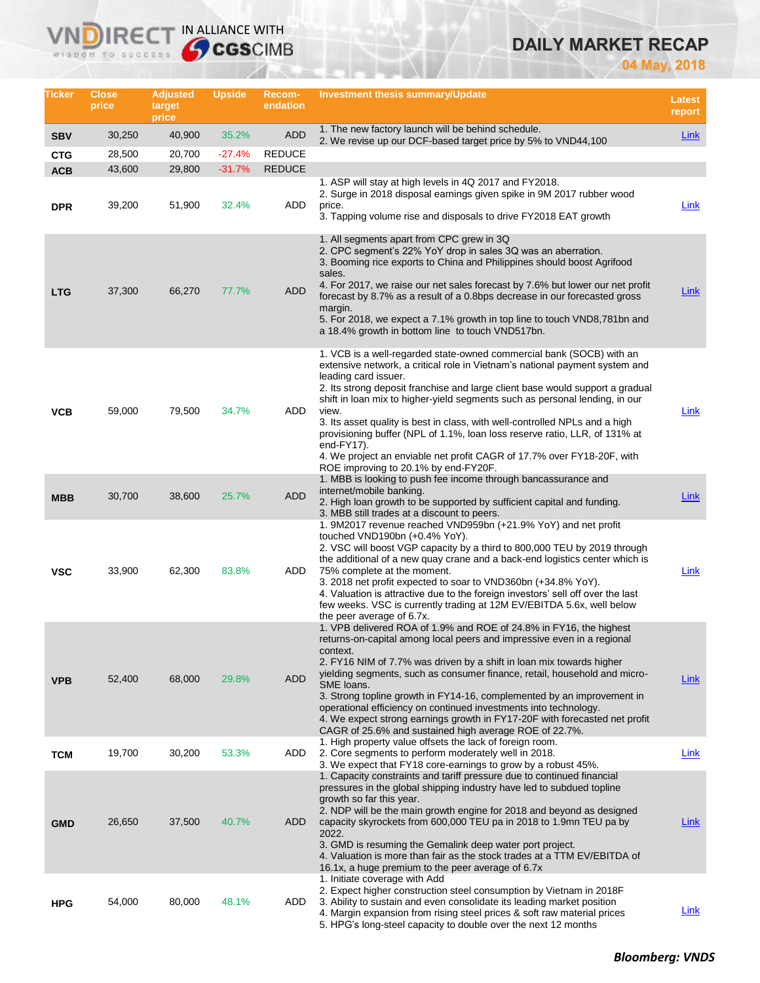# **DAILY MARKET RECAP**

**04 May, 2018**

| Ticker                   | <b>Close</b><br>price | <b>Adjusted</b><br>target<br>price | <b>Upside</b>     | <b>Recom-</b><br>endation | Investment thesis summary/Update                                                                                                                                                                                                                                                                                                                                                                                                                                                                                                                                                                                                                  | <b>Latest</b><br>report |
|--------------------------|-----------------------|------------------------------------|-------------------|---------------------------|---------------------------------------------------------------------------------------------------------------------------------------------------------------------------------------------------------------------------------------------------------------------------------------------------------------------------------------------------------------------------------------------------------------------------------------------------------------------------------------------------------------------------------------------------------------------------------------------------------------------------------------------------|-------------------------|
| <b>SBV</b>               | 30,250                | 40,900                             | 35.2%             | <b>ADD</b>                | 1. The new factory launch will be behind schedule.<br>2. We revise up our DCF-based target price by 5% to VND44,100                                                                                                                                                                                                                                                                                                                                                                                                                                                                                                                               | Link                    |
| <b>CTG</b>               | 28,500                | 20,700                             | $-27.4%$          | <b>REDUCE</b>             |                                                                                                                                                                                                                                                                                                                                                                                                                                                                                                                                                                                                                                                   |                         |
| <b>ACB</b><br><b>DPR</b> | 43,600<br>39,200      | 29,800<br>51,900                   | $-31.7%$<br>32.4% | <b>REDUCE</b><br>ADD      | 1. ASP will stay at high levels in 4Q 2017 and FY2018.<br>2. Surge in 2018 disposal earnings given spike in 9M 2017 rubber wood<br>price.<br>3. Tapping volume rise and disposals to drive FY2018 EAT growth                                                                                                                                                                                                                                                                                                                                                                                                                                      | <b>Link</b>             |
| <b>LTG</b>               | 37,300                | 66,270                             | 77.7%             | <b>ADD</b>                | 1. All segments apart from CPC grew in 3Q<br>2. CPC segment's 22% YoY drop in sales 3Q was an aberration.<br>3. Booming rice exports to China and Philippines should boost Agrifood<br>sales.<br>4. For 2017, we raise our net sales forecast by 7.6% but lower our net profit<br>forecast by 8.7% as a result of a 0.8bps decrease in our forecasted gross<br>margin.<br>5. For 2018, we expect a 7.1% growth in top line to touch VND8,781bn and<br>a 18.4% growth in bottom line to touch VND517bn.                                                                                                                                            | Link                    |
| <b>VCB</b>               | 59,000                | 79,500                             | 34.7%             | ADD                       | 1. VCB is a well-regarded state-owned commercial bank (SOCB) with an<br>extensive network, a critical role in Vietnam's national payment system and<br>leading card issuer.<br>2. Its strong deposit franchise and large client base would support a gradual<br>shift in loan mix to higher-yield segments such as personal lending, in our<br>view.<br>3. Its asset quality is best in class, with well-controlled NPLs and a high<br>provisioning buffer (NPL of 1.1%, loan loss reserve ratio, LLR, of 131% at<br>end-FY17).<br>4. We project an enviable net profit CAGR of 17.7% over FY18-20F, with<br>ROE improving to 20.1% by end-FY20F. | Link                    |
| <b>MBB</b>               | 30,700                | 38,600                             | 25.7%             | <b>ADD</b>                | 1. MBB is looking to push fee income through bancassurance and<br>internet/mobile banking.<br>2. High loan growth to be supported by sufficient capital and funding.<br>3. MBB still trades at a discount to peers.                                                                                                                                                                                                                                                                                                                                                                                                                               | Link                    |
| <b>VSC</b>               | 33,900                | 62,300                             | 83.8%             | ADD                       | 1. 9M2017 revenue reached VND959bn (+21.9% YoY) and net profit<br>touched VND190bn (+0.4% YoY).<br>2. VSC will boost VGP capacity by a third to 800,000 TEU by 2019 through<br>the additional of a new quay crane and a back-end logistics center which is<br>75% complete at the moment.<br>3. 2018 net profit expected to soar to VND360bn (+34.8% YoY).<br>4. Valuation is attractive due to the foreign investors' sell off over the last<br>few weeks. VSC is currently trading at 12M EV/EBITDA 5.6x, well below<br>the peer average of 6.7x.                                                                                               | Link                    |
| <b>VPB</b>               | 52,400                | 68,000                             | 29.8%             | <b>ADD</b>                | 1. VPB delivered ROA of 1.9% and ROE of 24.8% in FY16, the highest<br>returns-on-capital among local peers and impressive even in a regional<br>context.<br>2. FY16 NIM of 7.7% was driven by a shift in loan mix towards higher<br>yielding segments, such as consumer finance, retail, household and micro-<br>SME loans.<br>3. Strong topline growth in FY14-16, complemented by an improvement in<br>operational efficiency on continued investments into technology.<br>4. We expect strong earnings growth in FY17-20F with forecasted net profit<br>CAGR of 25.6% and sustained high average ROE of 22.7%.                                 | <u>Link</u>             |
| <b>TCM</b>               | 19,700                | 30,200                             | 53.3%             | ADD                       | 1. High property value offsets the lack of foreign room.<br>2. Core segments to perform moderately well in 2018.<br>3. We expect that FY18 core-earnings to grow by a robust 45%.                                                                                                                                                                                                                                                                                                                                                                                                                                                                 | Link                    |
| <b>GMD</b>               | 26,650                | 37,500                             | 40.7%             | <b>ADD</b>                | 1. Capacity constraints and tariff pressure due to continued financial<br>pressures in the global shipping industry have led to subdued topline<br>growth so far this year.<br>2. NDP will be the main growth engine for 2018 and beyond as designed<br>capacity skyrockets from 600,000 TEU pa in 2018 to 1.9mn TEU pa by<br>2022.<br>3. GMD is resuming the Gemalink deep water port project.<br>4. Valuation is more than fair as the stock trades at a TTM EV/EBITDA of<br>16.1x, a huge premium to the peer average of 6.7x                                                                                                                  | <u>Link</u>             |
| <b>HPG</b>               | 54,000                | 80,000                             | 48.1%             | ADD                       | 1. Initiate coverage with Add<br>2. Expect higher construction steel consumption by Vietnam in 2018 F<br>3. Ability to sustain and even consolidate its leading market position<br>4. Margin expansion from rising steel prices & soft raw material prices<br>5. HPG's long-steel capacity to double over the next 12 months                                                                                                                                                                                                                                                                                                                      | <u>Link</u>             |

**VNDIRECT IN ALLIANCE WITH**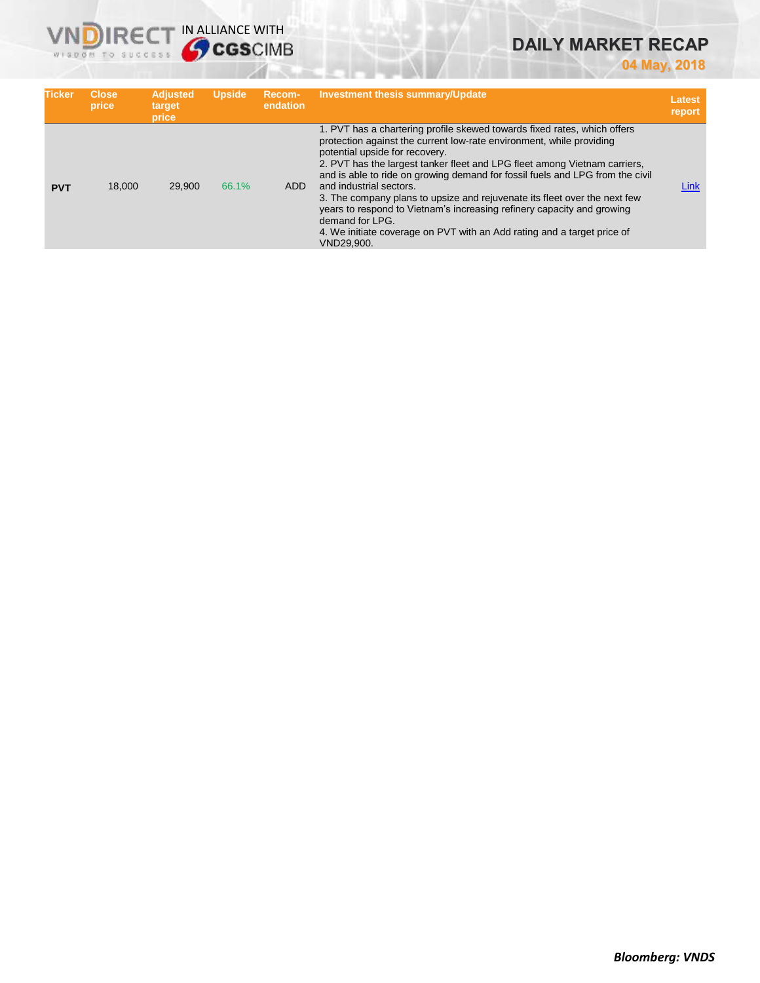# **DAILY MARKET RECAP**

**04 May, 2018**

| <b>Ticker</b> | <b>Close</b><br>price | <b>Adjusted</b><br>target<br>price | <b>Upside</b> | Recom-<br>endation | <b>Investment thesis summary/Update</b>                                                                                                                                                                                                                                                                                                                                                                                                                                                                                                                                                                                                        | <b>Latest</b><br>report |
|---------------|-----------------------|------------------------------------|---------------|--------------------|------------------------------------------------------------------------------------------------------------------------------------------------------------------------------------------------------------------------------------------------------------------------------------------------------------------------------------------------------------------------------------------------------------------------------------------------------------------------------------------------------------------------------------------------------------------------------------------------------------------------------------------------|-------------------------|
| <b>PVT</b>    | 18,000                | 29,900                             | 66.1%         | <b>ADD</b>         | 1. PVT has a chartering profile skewed towards fixed rates, which offers<br>protection against the current low-rate environment, while providing<br>potential upside for recovery.<br>2. PVT has the largest tanker fleet and LPG fleet among Vietnam carriers,<br>and is able to ride on growing demand for fossil fuels and LPG from the civil<br>and industrial sectors.<br>3. The company plans to upsize and rejuvenate its fleet over the next few<br>years to respond to Vietnam's increasing refinery capacity and growing<br>demand for LPG.<br>4. We initiate coverage on PVT with an Add rating and a target price of<br>VND29,900. | Link                    |

**VNDIRECT IN ALLIANCE WITH**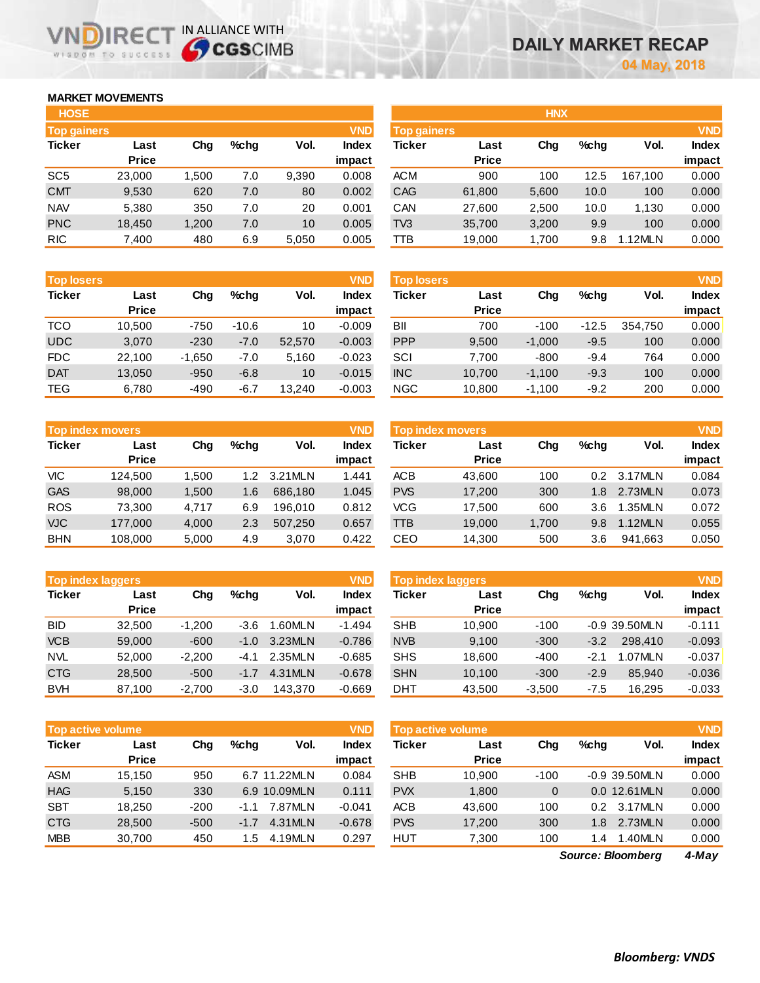# **MARKET MOVEMENTS**

WISDOM TO SUCCESS

m

**IRE** 

| <b>HOSE</b>        |        |       |      |       |              |
|--------------------|--------|-------|------|-------|--------------|
| <b>Top gainers</b> |        |       |      |       | <b>VND</b>   |
| <b>Ticker</b>      | Last   | Chg   | %chq | Vol.  | <b>Index</b> |
|                    | Price  |       |      |       | impact       |
| SC <sub>5</sub>    | 23,000 | 1,500 | 7.0  | 9,390 | 0.008        |
| <b>CMT</b>         | 9,530  | 620   | 7.0  | 80    | 0.002        |
| <b>NAV</b>         | 5,380  | 350   | 7.0  | 20    | 0.001        |
| <b>PNC</b>         | 18,450 | 1,200 | 7.0  | 10    | 0.005        |
| <b>RIC</b>         | 7,400  | 480   | 6.9  | 5,050 | 0.005        |

IN ALLIANCE WITH

| <b>Top losers</b> |              |          |         |        | <b>VND</b>   |
|-------------------|--------------|----------|---------|--------|--------------|
| <b>Ticker</b>     | Last         | Cha      | %chq    | Vol.   | <b>Index</b> |
|                   | <b>Price</b> |          |         |        | impact       |
| <b>TCO</b>        | 10,500       | $-750$   | $-10.6$ | 10     | $-0.009$     |
| <b>UDC</b>        | 3,070        | $-230$   | $-7.0$  | 52,570 | $-0.003$     |
| <b>FDC</b>        | 22,100       | $-1,650$ | $-7.0$  | 5,160  | $-0.023$     |
| <b>DAT</b>        | 13,050       | $-950$   | $-6.8$  | 10     | $-0.015$     |
| <b>TEG</b>        | 6,780        | $-490$   | $-6.7$  | 13,240 | $-0.003$     |

| <b>Top index movers</b> |              |       |                  |         |              |  |  |  |  |
|-------------------------|--------------|-------|------------------|---------|--------------|--|--|--|--|
| <b>Ticker</b>           | Last         | Cha   | %chq             | Vol.    | <b>Index</b> |  |  |  |  |
|                         | <b>Price</b> |       |                  |         | impact       |  |  |  |  |
| VIC                     | 124,500      | 1.500 | 1.2 <sub>2</sub> | 3.21MLN | 1.441        |  |  |  |  |
| <b>GAS</b>              | 98,000       | 1,500 | 1.6              | 686,180 | 1.045        |  |  |  |  |
| <b>ROS</b>              | 73,300       | 4.717 | 6.9              | 196.010 | 0.812        |  |  |  |  |
| <b>VJC</b>              | 177,000      | 4,000 | 2.3              | 507,250 | 0.657        |  |  |  |  |
| <b>BHN</b>              | 108,000      | 5,000 | 4.9              | 3,070   | 0.422        |  |  |  |  |

| <b>Top index laggers</b> |              |          |        |         |              |  |  |  |  |
|--------------------------|--------------|----------|--------|---------|--------------|--|--|--|--|
| <b>Ticker</b>            | Last         | Cha      | %chq   | Vol.    | <b>Index</b> |  |  |  |  |
|                          | <b>Price</b> |          |        |         | impact       |  |  |  |  |
| <b>BID</b>               | 32,500       | $-1,200$ | $-3.6$ | 1.60MLN | $-1.494$     |  |  |  |  |
| <b>VCB</b>               | 59,000       | $-600$   | $-1.0$ | 3.23MLN | $-0.786$     |  |  |  |  |
| <b>NVL</b>               | 52,000       | $-2,200$ | $-4.1$ | 2.35MLN | $-0.685$     |  |  |  |  |
| <b>CTG</b>               | 28,500       | $-500$   | $-1.7$ | 4.31MLN | $-0.678$     |  |  |  |  |
| <b>BVH</b>               | 87,100       | $-2,700$ | $-3.0$ | 143.370 | $-0.669$     |  |  |  |  |

|               | <b>VND</b><br>Top active volume |        |         |              |                 |               | Top active volume    |             |         |               | <b>VND</b>      |
|---------------|---------------------------------|--------|---------|--------------|-----------------|---------------|----------------------|-------------|---------|---------------|-----------------|
| <b>Ticker</b> | Last<br><b>Price</b>            | Chg    | $%$ chq | Vol.         | Index<br>impact | <b>Ticker</b> | Last<br><b>Price</b> | Chg         | $%$ chq | Vol.          | Index<br>impact |
| <b>ASM</b>    | 15.150                          | 950    |         | 6.7 11.22MLN | 0.084           | <b>SHB</b>    | 10.900               | $-100$      |         | -0.9 39.50MLN | 0.000           |
| <b>HAG</b>    | 5,150                           | 330    |         | 6.9 10.09MLN | 0.111           | <b>PVX</b>    | 1.800                | $\mathbf 0$ |         | 0.0 12.61MLN  | 0.000           |
| <b>SBT</b>    | 18.250                          | $-200$ | $-1.1$  | 7.87MLN      | $-0.041$        | <b>ACB</b>    | 43.600               | 100         | 0.2     | 3.17MLN       | 0.000           |
| <b>CTG</b>    | 28,500                          | $-500$ | $-1.7$  | 4.31 MLN     | $-0.678$        | <b>PVS</b>    | 17.200               | 300         | 1.8     | 2.73MLN       | 0.000           |
| <b>MBB</b>    | 30,700                          | 450    | 1.5     | 4.19MLN      | 0.297           | <b>HUT</b>    | 7,300                | 100         | 1.4     | 1.40MLN       | 0.000           |

|                    |       |         |       |              | HNX <sup>1</sup> |                    |       |         |         |              |  |
|--------------------|-------|---------|-------|--------------|------------------|--------------------|-------|---------|---------|--------------|--|
| <b>Top gainers</b> |       |         |       | <b>VND</b>   |                  | <b>Top gainers</b> |       |         |         |              |  |
| Last               | Chg   | $%$ chq | Vol.  | <b>Index</b> | Ticker           | Last               | Chg   | $%$ chq | Vol.    | <b>Index</b> |  |
| <b>Price</b>       |       |         |       | impact       |                  | <b>Price</b>       |       |         |         | impact       |  |
| 23,000             | 1,500 | 7.0     | 9,390 | 0.008        | <b>ACM</b>       | 900                | 100   | 12.5    | 167.100 | 0.000        |  |
| 9,530              | 620   | 7.0     | 80    | 0.002        | <b>CAG</b>       | 61,800             | 5,600 | 10.0    | 100     | 0.000        |  |
| 5,380              | 350   | 7.0     | 20    | 0.001        | CAN              | 27,600             | 2,500 | 10.0    | 1.130   | 0.000        |  |
| 18,450             | 1,200 | 7.0     | 10    | 0.005        | TV3              | 35,700             | 3,200 | 9.9     | 100     | 0.000        |  |
| 7,400              | 480   | 6.9     | 5,050 | 0.005        | TТB              | 19,000             | 1,700 | 9.8     | 1.12MLN | 0.000        |  |
|                    |       |         |       |              |                  |                    |       |         |         |              |  |

| <b>Top losers</b> |                      |          |         |        | <b>VND</b>             | <b>Top losers</b> |                      |          |         |         |                                      |
|-------------------|----------------------|----------|---------|--------|------------------------|-------------------|----------------------|----------|---------|---------|--------------------------------------|
| Ticker            | Last<br><b>Price</b> | Chg      | %chq    | Vol.   | <b>Index</b><br>impact | Ticker            | Last<br><b>Price</b> | Chg      | $%$ chq | Vol.    | <b>VND</b><br><b>Index</b><br>impact |
| TCO               | 10.500               | $-750$   | $-10.6$ | 10     | $-0.009$               | BII               | 700                  | $-100$   | $-12.5$ | 354.750 | 0.000                                |
| UDC               | 3.070                | $-230$   | $-7.0$  | 52,570 | $-0.003$               | <b>PPP</b>        | 9,500                | $-1.000$ | $-9.5$  | 100     | 0.000                                |
| <b>FDC</b>        | 22.100               | $-1,650$ | $-7.0$  | 5,160  | $-0.023$               | SCI               | 7.700                | $-800$   | $-9.4$  | 764     | 0.000                                |
| <b>DAT</b>        | 13.050               | $-950$   | $-6.8$  | 10     | $-0.015$               | <b>INC</b>        | 10.700               | $-1.100$ | $-9.3$  | 100     | 0.000                                |
| TEG               | 6,780                | $-490$   | $-6.7$  | 13,240 | $-0.003$               | <b>NGC</b>        | 10,800               | $-1,100$ | $-9.2$  | 200     | 0.000                                |

|            | Top index movers     |       |      |          | <b>VND</b>      | <b>Top index movers</b> |                      |       |         |         | <b>VND</b>             |
|------------|----------------------|-------|------|----------|-----------------|-------------------------|----------------------|-------|---------|---------|------------------------|
| Ticker     | Last<br><b>Price</b> | Chg   | %chq | Vol.     | Index<br>impact | Ticker                  | Last<br><b>Price</b> | Chg   | $%$ chq | Vol.    | <b>Index</b><br>impact |
| VIC        | 124.500              | 1.500 | 1.2  | 3.21 MLN | 1.441           | <b>ACB</b>              | 43,600               | 100   | 0.2     | 3.17MLN | 0.084                  |
| <b>GAS</b> | 98,000               | 1,500 | 1.6  | 686.180  | 1.045           | <b>PVS</b>              | 17,200               | 300   | 1.8     | 2.73MLN | 0.073                  |
| <b>ROS</b> | 73.300               | 4.717 | 6.9  | 196.010  | 0.812           | VCG                     | 17.500               | 600   | 3.6     | 1.35MLN | 0.072                  |
| <b>VJC</b> | 177,000              | 4,000 | 2.3  | 507.250  | 0.657           | TTB                     | 19,000               | 1,700 | 9.8     | 1.12MLN | 0.055                  |
| <b>BHN</b> | 108,000              | 5,000 | 4.9  | 3.070    | 0.422           | CEO                     | 14,300               | 500   | 3.6     | 941,663 | 0.050                  |

| <b>Top index laggers</b> |                      |          |         |          | <b>VND</b>      | <b>Top index laggers</b> |                      |          |         |                 |                        |
|--------------------------|----------------------|----------|---------|----------|-----------------|--------------------------|----------------------|----------|---------|-----------------|------------------------|
| Ticker                   | Last<br><b>Price</b> | Chg      | $%$ chq | Vol.     | Index<br>impact | Ticker                   | Last<br><b>Price</b> | Chg      | $%$ chq | Vol.            | <b>Index</b><br>impact |
| BID                      | 32.500               | $-1.200$ | -3.6    | L60MLN   | $-1.494$        | <b>SHB</b>               | 10.900               | $-100$   |         | $-0.9$ 39.50MLN | $-0.111$               |
| <b>VCB</b>               | 59,000               | $-600$   | $-1.0$  | 3.23MLN  | $-0.786$        | <b>NVB</b>               | 9.100                | $-300$   | $-3.2$  | 298,410         | $-0.093$               |
| NVL                      | 52,000               | $-2.200$ | -4.1    | 2.35MLN  | $-0.685$        | <b>SHS</b>               | 18,600               | $-400$   | $-2.1$  | 1.07MLN         | $-0.037$               |
| <b>CTG</b>               | 28,500               | $-500$   | $-1.7$  | 4.31 MLN | $-0.678$        | <b>SHN</b>               | 10.100               | $-300$   | $-2.9$  | 85.940          | $-0.036$               |
| <b>BVH</b>               | 87.100               | $-2.700$ | $-3.0$  | 143.370  | $-0.669$        | DHT                      | 43,500               | $-3,500$ | $-7.5$  | 16.295          | $-0.033$               |

| <b>Top active volume</b> |              |          |      |               | <b>VND</b>   |
|--------------------------|--------------|----------|------|---------------|--------------|
| <b>Ticker</b>            | Last         | Cha      | %chq | Vol.          | <b>Index</b> |
|                          | <b>Price</b> |          |      |               | impact       |
| <b>SHB</b>               | 10,900       | $-100$   |      | -0.9 39.50MLN | 0.000        |
| <b>PVX</b>               | 1,800        | $\Omega$ |      | 0.0 12.61MLN  | 0.000        |
| <b>ACB</b>               | 43,600       | 100      | 0.2  | 3.17MLN       | 0.000        |
| <b>PVS</b>               | 17,200       | 300      | 1.8  | 2.73MLN       | 0.000        |
| HUT                      | 7,300        | 100      | 1.4  | 1.40MLN       | 0.000        |

*4-May Source: Bloomberg*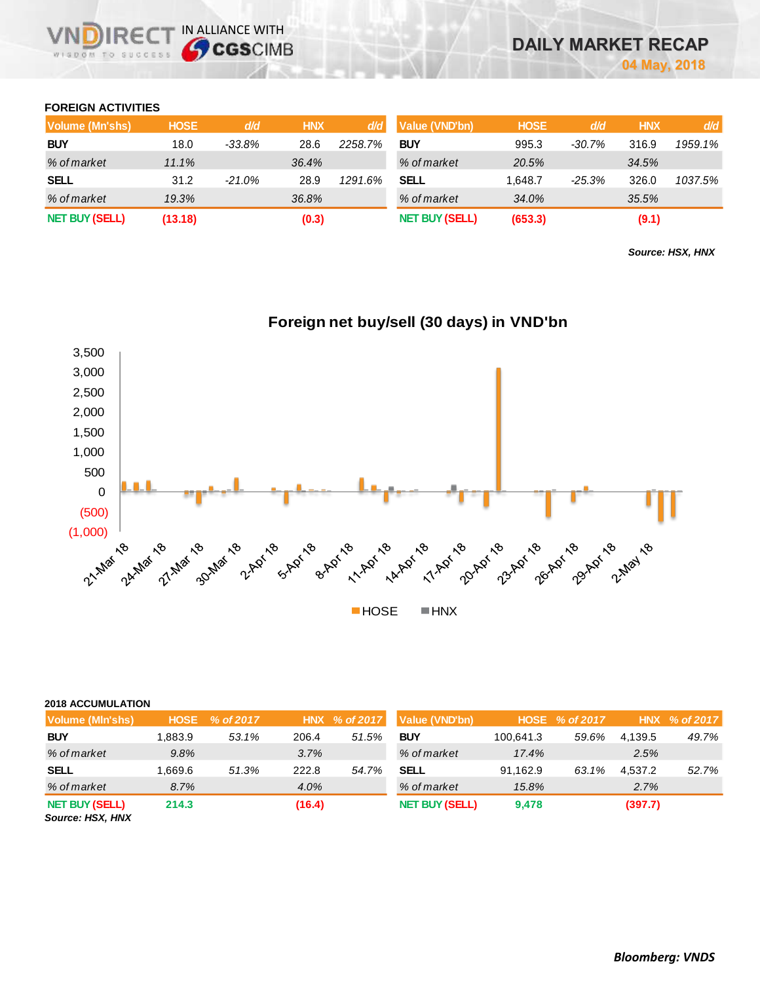## **FOREIGN ACTIVITIES**

| Volume (Mn'shs)       | <b>HOSE</b> | d/d       | <b>HNX</b> | d/d     | Value (VND'bn)        | <b>HOSE</b> | d/d      | <b>HNX</b> | d/d     |
|-----------------------|-------------|-----------|------------|---------|-----------------------|-------------|----------|------------|---------|
| <b>BUY</b>            | 18.0        | $-33.8\%$ | 28.6       | 2258.7% | <b>BUY</b>            | 995.3       | -30.7%   | 316.9      | 1959.1% |
| % of market           | 11.1%       |           | 36.4%      |         | % of market           | 20.5%       |          | 34.5%      |         |
| <b>SELL</b>           | 31.2        | $-21.0\%$ | 28.9       | 1291.6% | <b>SELL</b>           | 1.648.7     | $-25.3%$ | 326.0      | 1037.5% |
| % of market           | 19.3%       |           | 36.8%      |         | % of market           | 34.0%       |          | 35.5%      |         |
| <b>NET BUY (SELL)</b> | (13.18)     |           | (0.3)      |         | <b>NET BUY (SELL)</b> | (653.3)     |          | (9.1)      |         |

*Source: HSX, HNX*



# **Foreign net buy/sell (30 days) in VND'bn**

| <b>2018 ACCUMULATION</b> |  |
|--------------------------|--|
|                          |  |

| -----------------                         |         |                |        |               |                       |           |                |         |               |
|-------------------------------------------|---------|----------------|--------|---------------|-----------------------|-----------|----------------|---------|---------------|
| Volume (MIn'shs)                          |         | HOSE % of 2017 |        | HNX % of 2017 | Value (VND'bn)        |           | HOSE % of 2017 |         | HNX % of 2017 |
| <b>BUY</b>                                | 1.883.9 | 53.1%          | 206.4  | 51.5%         | <b>BUY</b>            | 100.641.3 | 59.6%          | 4,139.5 | 49.7%         |
| % of market                               | 9.8%    |                | 3.7%   |               | % of market           | 17.4%     |                | 2.5%    |               |
| <b>SELL</b>                               | 1.669.6 | 51.3%          | 222.8  | 54.7%         | <b>SELL</b>           | 91.162.9  | 63.1%          | 4.537.2 | 52.7%         |
| % of market                               | 8.7%    |                | 4.0%   |               | % of market           | 15.8%     |                | 2.7%    |               |
| <b>NET BUY (SELL)</b><br>Source: HSX, HNX | 214.3   |                | (16.4) |               | <b>NET BUY (SELL)</b> | 9,478     |                | (397.7) |               |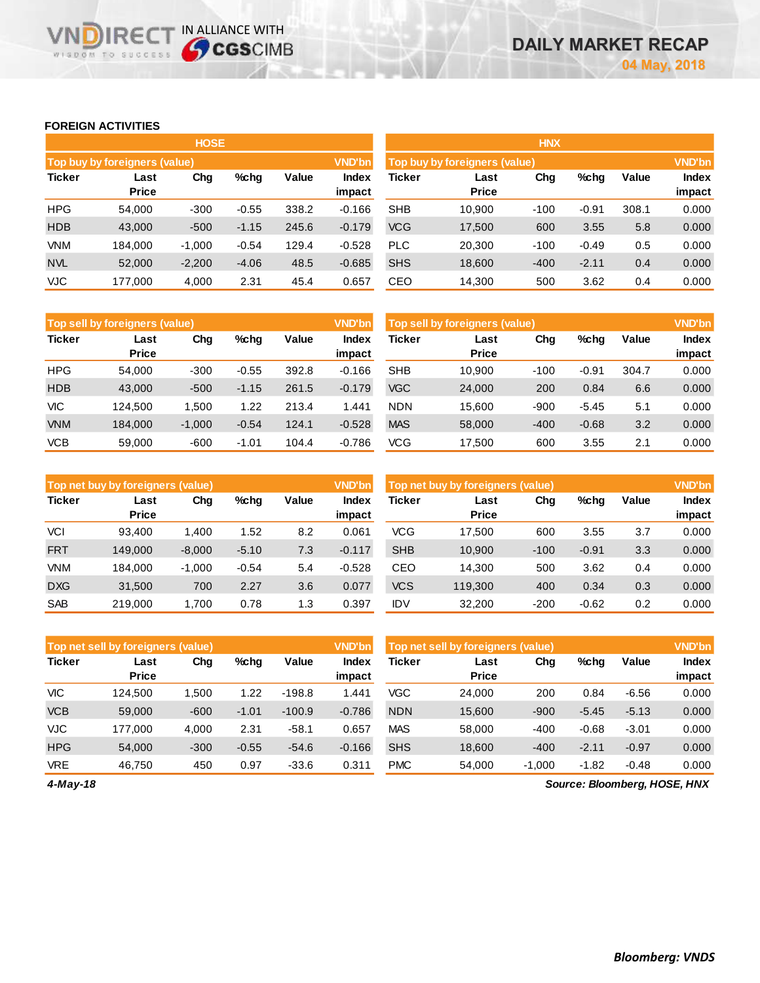## **FOREIGN ACTIVITIES**

WISDOM TO SUCCESS

**VNDIRECT IN ALLIANCE WITH** 

|               |                               | <b>HOSE</b> |         |       |                 | <b>HNX</b> |                               |        |         |       |                        |  |  |
|---------------|-------------------------------|-------------|---------|-------|-----------------|------------|-------------------------------|--------|---------|-------|------------------------|--|--|
|               | Top buy by foreigners (value) |             |         |       | <b>VND'bn</b>   |            | Top buy by foreigners (value) |        |         |       | <b>VND'bn</b>          |  |  |
| <b>Ticker</b> | Last<br><b>Price</b>          | Chg         | $%$ chg | Value | Index<br>impact | Ticker     | Last<br><b>Price</b>          | Chg    | %chg    | Value | <b>Index</b><br>impact |  |  |
| <b>HPG</b>    | 54.000                        | $-300$      | $-0.55$ | 338.2 | $-0.166$        | <b>SHB</b> | 10.900                        | $-100$ | $-0.91$ | 308.1 | 0.000                  |  |  |
| <b>HDB</b>    | 43,000                        | $-500$      | $-1.15$ | 245.6 | $-0.179$        | <b>VCG</b> | 17,500                        | 600    | 3.55    | 5.8   | 0.000                  |  |  |
| <b>VNM</b>    | 184.000                       | $-1,000$    | $-0.54$ | 129.4 | $-0.528$        | <b>PLC</b> | 20,300                        | $-100$ | $-0.49$ | 0.5   | 0.000                  |  |  |
| <b>NVL</b>    | 52,000                        | $-2,200$    | $-4.06$ | 48.5  | $-0.685$        | <b>SHS</b> | 18,600                        | $-400$ | $-2.11$ | 0.4   | 0.000                  |  |  |
| <b>VJC</b>    | 177,000                       | 4,000       | 2.31    | 45.4  | 0.657           | CEO        | 14,300                        | 500    | 3.62    | 0.4   | 0.000                  |  |  |

|            | <b>VND'bn</b><br>Top sell by foreigners (value) |          |         |       |                 |            | <b>VND'bn</b><br>Top sell by foreigners (value), |        |         |       |                 |
|------------|-------------------------------------------------|----------|---------|-------|-----------------|------------|--------------------------------------------------|--------|---------|-------|-----------------|
| Ticker     | Last<br><b>Price</b>                            | Chg      | %chq    | Value | Index<br>impact | Ticker     | Last<br><b>Price</b>                             | Chg    | %chg    | Value | Index<br>impact |
| <b>HPG</b> | 54.000                                          | $-300$   | $-0.55$ | 392.8 | $-0.166$        | <b>SHB</b> | 10.900                                           | $-100$ | $-0.91$ | 304.7 | 0.000           |
| <b>HDB</b> | 43,000                                          | $-500$   | $-1.15$ | 261.5 | $-0.179$        | <b>VGC</b> | 24,000                                           | 200    | 0.84    | 6.6   | 0.000           |
| VIC        | 124.500                                         | 1,500    | 1.22    | 213.4 | 1.441           | <b>NDN</b> | 15,600                                           | $-900$ | $-5.45$ | 5.1   | 0.000           |
| <b>VNM</b> | 184,000                                         | $-1,000$ | $-0.54$ | 124.1 | $-0.528$        | <b>MAS</b> | 58,000                                           | $-400$ | $-0.68$ | 3.2   | 0.000           |
| <b>VCB</b> | 59,000                                          | $-600$   | $-1.01$ | 104.4 | $-0.786$        | VCG        | 17.500                                           | 600    | 3.55    | 2.1   | 0.000           |

|               | Top net buy by foreigners (value) |          |         |       | <b>VND'bn</b>   | Top net buy by foreigners (value) |                      | <b>VND'bn</b> |         |       |                        |
|---------------|-----------------------------------|----------|---------|-------|-----------------|-----------------------------------|----------------------|---------------|---------|-------|------------------------|
| <b>Ticker</b> | Last<br><b>Price</b>              | Chg      | %chg    | Value | Index<br>impact | Ticker                            | Last<br><b>Price</b> | Chg           | %chg    | Value | <b>Index</b><br>impact |
| <b>VCI</b>    | 93.400                            | 1.400    | 1.52    | 8.2   | 0.061           | <b>VCG</b>                        | 17.500               | 600           | 3.55    | 3.7   | 0.000                  |
| <b>FRT</b>    | 149.000                           | $-8,000$ | $-5.10$ | 7.3   | $-0.117$        | <b>SHB</b>                        | 10,900               | $-100$        | $-0.91$ | 3.3   | 0.000                  |
| <b>VNM</b>    | 184.000                           | $-1.000$ | $-0.54$ | 5.4   | $-0.528$        | CEO                               | 14.300               | 500           | 3.62    | 0.4   | 0.000                  |
| <b>DXG</b>    | 31,500                            | 700      | 2.27    | 3.6   | 0.077           | <b>VCS</b>                        | 119,300              | 400           | 0.34    | 0.3   | 0.000                  |
| <b>SAB</b>    | 219,000                           | 1.700    | 0.78    | 1.3   | 0.397           | IDV                               | 32,200               | $-200$        | $-0.62$ | 0.2   | 0.000                  |

|               | <b>VND'bn</b><br>Top net sell by foreigners (value) |        |         |          |                 |            | <b>VND'bn</b><br>Top net sell by foreigners (value) |          |         |         |                 |  |
|---------------|-----------------------------------------------------|--------|---------|----------|-----------------|------------|-----------------------------------------------------|----------|---------|---------|-----------------|--|
| <b>Ticker</b> | Last<br><b>Price</b>                                | Chg    | $%$ chg | Value    | Index<br>impact | Ticker     | Last<br><b>Price</b>                                | Chg      | $%$ chg | Value   | Index<br>impact |  |
| <b>VIC</b>    | 124.500                                             | 1.500  | 1.22    | $-198.8$ | 1.441           | VGC        | 24.000                                              | 200      | 0.84    | $-6.56$ | 0.000           |  |
| <b>VCB</b>    | 59,000                                              | $-600$ | $-1.01$ | $-100.9$ | $-0.786$        | <b>NDN</b> | 15,600                                              | $-900$   | $-5.45$ | $-5.13$ | 0.000           |  |
| <b>VJC</b>    | 177.000                                             | 4,000  | 2.31    | $-58.1$  | 0.657           | <b>MAS</b> | 58,000                                              | $-400$   | $-0.68$ | $-3.01$ | 0.000           |  |
| <b>HPG</b>    | 54.000                                              | $-300$ | $-0.55$ | $-54.6$  | $-0.166$        | <b>SHS</b> | 18,600                                              | $-400$   | $-2.11$ | $-0.97$ | 0.000           |  |
| <b>VRE</b>    | 46.750                                              | 450    | 0.97    | $-33.6$  | 0.311           | <b>PMC</b> | 54.000                                              | $-1,000$ | $-1.82$ | $-0.48$ | 0.000           |  |

*4-May-18*

*Source: Bloomberg, HOSE, HNX*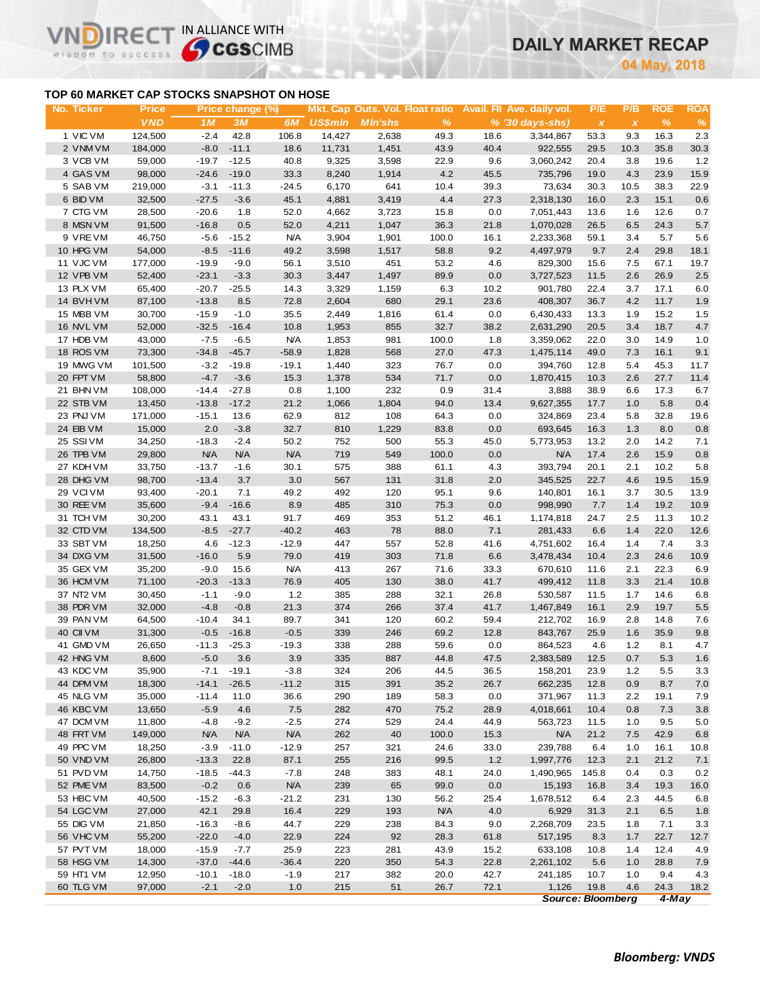# **DAILY MARKET RECAP**

**May, 2018**

# **TOP 60 MARKET CAP STOCKS SNAPSHOT ON HOSE**

VN

m

IR<sub>E</sub>

WISDOM TO SUCCESS

IN ALLIANCE WITH

| No. Ticker | <b>Price</b> |            | Price change (%) |            |                |                |               |      | Mkt. Cap Outs. Vol. Float ratio Avail. Fil Ave. daily vol. | P/E                       | P/B          | <b>ROE</b> | <b>ROA</b> |
|------------|--------------|------------|------------------|------------|----------------|----------------|---------------|------|------------------------------------------------------------|---------------------------|--------------|------------|------------|
|            | <b>VND</b>   | 1M         | 3M               | 6M         | <b>US\$min</b> | <b>MIn'shs</b> | $\frac{9}{6}$ |      | $% (30 \, \text{days-shs})$                                | $\boldsymbol{\mathsf{X}}$ | $\pmb{\chi}$ | %          | $\%$       |
| 1 VIC VM   | 124,500      | $-2.4$     | 42.8             | 106.8      | 14,427         | 2,638          | 49.3          | 18.6 | 3,344,867                                                  | 53.3                      | 9.3          | 16.3       | 2.3        |
| 2 VNM VM   | 184,000      | $-8.0$     | $-11.1$          | 18.6       | 11,731         | 1,451          | 43.9          | 40.4 | 922,555                                                    | 29.5                      | 10.3         | 35.8       | 30.3       |
| 3 VCB VM   | 59,000       | $-19.7$    | $-12.5$          | 40.8       | 9,325          | 3,598          | 22.9          | 9.6  | 3,060,242                                                  | 20.4                      | 3.8          | 19.6       | 1.2        |
| 4 GAS VM   | 98,000       | $-24.6$    | $-19.0$          | 33.3       | 8,240          | 1,914          | 4.2           | 45.5 | 735,796                                                    | 19.0                      | 4.3          | 23.9       | 15.9       |
| 5 SAB VM   | 219,000      | $-3.1$     | $-11.3$          | $-24.5$    | 6,170          | 641            | 10.4          | 39.3 | 73,634                                                     | 30.3                      | 10.5         | 38.3       | 22.9       |
| 6 BID VM   | 32,500       | $-27.5$    | $-3.6$           | 45.1       | 4,881          | 3,419          | 4.4           | 27.3 | 2,318,130                                                  | 16.0                      | 2.3          | 15.1       | 0.6        |
| 7 CTG VM   | 28,500       | $-20.6$    | 1.8              | 52.0       | 4,662          | 3,723          | 15.8          | 0.0  | 7,051,443                                                  | 13.6                      | 1.6          | 12.6       | 0.7        |
| 8 MSN VM   | 91,500       | $-16.8$    | 0.5              | 52.0       | 4,211          | 1,047          | 36.3          | 21.8 | 1,070,028                                                  | 26.5                      | 6.5          | 24.3       | 5.7        |
| 9 VREVM    | 46,750       | $-5.6$     | $-15.2$          | <b>N/A</b> | 3,904          | 1,901          | 100.0         | 16.1 | 2,233,368                                                  | 59.1                      | 3.4          | 5.7        | 5.6        |
| 10 HPG VM  | 54,000       | $-8.5$     | $-11.6$          | 49.2       | 3,598          | 1,517          | 58.8          | 9.2  | 4,497,979                                                  | 9.7                       | 2.4          | 29.8       | 18.1       |
| 11 VJC VM  | 177,000      | $-19.9$    | $-9.0$           | 56.1       | 3,510          | 451            | 53.2          | 4.6  | 829,300                                                    | 15.6                      | 7.5          | 67.1       | 19.7       |
| 12 VPB VM  | 52,400       | $-23.1$    | $-3.3$           | 30.3       | 3,447          | 1,497          | 89.9          | 0.0  | 3,727,523                                                  | 11.5                      | 2.6          | 26.9       | 2.5        |
| 13 PLX VM  | 65,400       | $-20.7$    | $-25.5$          | 14.3       | 3,329          | 1,159          | 6.3           | 10.2 | 901,780                                                    | 22.4                      | 3.7          | 17.1       | 6.0        |
| 14 BVHVM   | 87,100       | $-13.8$    | 8.5              | 72.8       | 2,604          | 680            | 29.1          | 23.6 | 408,307                                                    | 36.7                      | 4.2          | 11.7       | 1.9        |
| 15 MBB VM  | 30,700       | $-15.9$    | $-1.0$           | 35.5       | 2,449          | 1,816          | 61.4          | 0.0  | 6,430,433                                                  | 13.3                      | 1.9          | 15.2       | 1.5        |
| 16 NVL VM  | 52,000       | $-32.5$    | $-16.4$          | 10.8       | 1,953          | 855            | 32.7          | 38.2 | 2,631,290                                                  | 20.5                      | 3.4          | 18.7       | 4.7        |
| 17 HDB VM  | 43,000       | $-7.5$     | $-6.5$           | <b>N/A</b> | 1,853          | 981            | 100.0         | 1.8  | 3,359,062                                                  | 22.0                      | 3.0          | 14.9       | 1.0        |
|            |              |            |                  |            |                |                |               |      |                                                            |                           |              |            |            |
| 18 ROS VM  | 73,300       | $-34.8$    | $-45.7$          | $-58.9$    | 1,828          | 568            | 27.0<br>76.7  | 47.3 | 1,475,114                                                  | 49.0                      | 7.3          | 16.1       | 9.1        |
| 19 MWG VM  | 101,500      | $-3.2$     | $-19.8$          | $-19.1$    | 1,440          | 323            |               | 0.0  | 394,760                                                    | 12.8                      | 5.4          | 45.3       | 11.7       |
| 20 FPT VM  | 58,800       | $-4.7$     | $-3.6$           | 15.3       | 1,378          | 534            | 71.7          | 0.0  | 1,870,415                                                  | 10.3                      | 2.6          | 27.7       | 11.4       |
| 21 BHN VM  | 108,000      | $-14.4$    | $-27.8$          | 0.8        | 1,100          | 232            | 0.9           | 31.4 | 3,888                                                      | 38.9                      | 6.6          | 17.3       | 6.7        |
| 22 STB VM  | 13,450       | $-13.8$    | $-17.2$          | 21.2       | 1,066          | 1,804          | 94.0          | 13.4 | 9,627,355                                                  | 17.7                      | 1.0          | 5.8        | 0.4        |
| 23 PNJ VM  | 171,000      | $-15.1$    | 13.6             | 62.9       | 812            | 108            | 64.3          | 0.0  | 324,869                                                    | 23.4                      | 5.8          | 32.8       | 19.6       |
| 24 EIB VM  | 15,000       | 2.0        | $-3.8$           | 32.7       | 810            | 1,229          | 83.8          | 0.0  | 693,645                                                    | 16.3                      | 1.3          | 8.0        | 0.8        |
| 25 SSIVM   | 34,250       | $-18.3$    | $-2.4$           | 50.2       | 752            | 500            | 55.3          | 45.0 | 5,773,953                                                  | 13.2                      | 2.0          | 14.2       | 7.1        |
| 26 TPB VM  | 29,800       | <b>N/A</b> | <b>N/A</b>       | <b>N/A</b> | 719            | 549            | 100.0         | 0.0  | <b>N/A</b>                                                 | 17.4                      | 2.6          | 15.9       | 0.8        |
| 27 KDH VM  | 33,750       | $-13.7$    | $-1.6$           | 30.1       | 575            | 388            | 61.1          | 4.3  | 393,794                                                    | 20.1                      | 2.1          | 10.2       | 5.8        |
| 28 DHG VM  | 98,700       | $-13.4$    | 3.7              | 3.0        | 567            | 131            | 31.8          | 2.0  | 345,525                                                    | 22.7                      | 4.6          | 19.5       | 15.9       |
| 29 VCIVM   | 93,400       | $-20.1$    | 7.1              | 49.2       | 492            | 120            | 95.1          | 9.6  | 140,801                                                    | 16.1                      | 3.7          | 30.5       | 13.9       |
| 30 REE VM  | 35,600       | $-9.4$     | $-16.6$          | 8.9        | 485            | 310            | 75.3          | 0.0  | 998,990                                                    | 7.7                       | 1.4          | 19.2       | 10.9       |
| 31 TCH VM  | 30,200       | 43.1       | 43.1             | 91.7       | 469            | 353            | 51.2          | 46.1 | 1,174,818                                                  | 24.7                      | 2.5          | 11.3       | 10.2       |
| 32 CTD VM  | 134,500      | $-8.5$     | $-27.7$          | $-40.2$    | 463            | 78             | 88.0          | 7.1  | 281,433                                                    | 6.6                       | 1.4          | 22.0       | 12.6       |
| 33 SBT VM  | 18,250       | 4.6        | $-12.3$          | $-12.9$    | 447            | 557            | 52.8          | 41.6 | 4,751,602                                                  | 16.4                      | 1.4          | 7.4        | 3.3        |
| 34 DXG VM  | 31,500       | $-16.0$    | 5.9              | 79.0       | 419            | 303            | 71.8          | 6.6  | 3,478,434                                                  | 10.4                      | 2.3          | 24.6       | 10.9       |
| 35 GEX VM  | 35,200       | $-9.0$     | 15.6             | <b>N/A</b> | 413            | 267            | 71.6          | 33.3 | 670,610                                                    | 11.6                      | 2.1          | 22.3       | 6.9        |
| 36 HCM VM  | 71,100       | $-20.3$    | $-13.3$          | 76.9       | 405            | 130            | 38.0          | 41.7 | 499,412                                                    | 11.8                      | 3.3          | 21.4       | 10.8       |
| 37 NT2 VM  | 30,450       | $-1.1$     | $-9.0$           | $1.2$      | 385            | 288            | 32.1          | 26.8 | 530,587                                                    | 11.5                      | 1.7          | 14.6       | 6.8        |
| 38 PDR VM  | 32,000       | $-4.8$     | $-0.8$           | 21.3       | 374            | 266            | 37.4          | 41.7 | 1,467,849                                                  | 16.1                      | 2.9          | 19.7       | 5.5        |
| 39 PAN VM  | 64,500       | $-10.4$    | 34.1             | 89.7       | 341            | 120            | 60.2          | 59.4 | 212,702                                                    | 16.9                      | 2.8          | 14.8       | 7.6        |
| 40 CII VM  | 31,300       | $-0.5$     | $-16.8$          | $-0.5$     | 339            | 246            | 69.2          | 12.8 | 843,767                                                    | 25.9                      | 1.6          | 35.9       | 9.8        |
| 41 GMD VM  | 26,650       | $-11.3$    | $-25.3$          | $-19.3$    | 338            | 288            | 59.6          | 0.0  | 864,523                                                    | 4.6                       | 1.2          | 8.1        | 4.7        |
| 42 HNG VM  | 8,600        | $-5.0$     | 3.6              | 3.9        | 335            | 887            | 44.8          | 47.5 | 2,383,589                                                  | 12.5                      | 0.7          | 5.3        | 1.6        |
| 43 KDC VM  | 35,900       | $-7.1$     | $-19.1$          | $-3.8$     | 324            | 206            | 44.5          | 36.5 | 158,201                                                    | 23.9                      | $1.2$        | 5.5        | 3.3        |
| 44 DPM VM  | 18,300       | $-14.1$    | $-26.5$          | $-11.2$    | 315            | 391            | 35.2          | 26.7 | 662,235                                                    | 12.8                      | 0.9          | 8.7        | 7.0        |
| 45 NLG VM  | 35,000       | $-11.4$    | 11.0             | 36.6       | 290            | 189            | 58.3          | 0.0  | 371,967                                                    | 11.3                      | 2.2          | 19.1       | 7.9        |
| 46 KBC VM  | 13,650       | $-5.9$     | 4.6              | 7.5        | 282            | 470            | 75.2          | 28.9 | 4,018,661                                                  | 10.4                      | 0.8          | 7.3        | 3.8        |
| 47 DCM VM  | 11,800       | $-4.8$     | $-9.2$           | $-2.5$     | 274            | 529            | 24.4          | 44.9 | 563,723                                                    | 11.5                      | 1.0          | 9.5        | 5.0        |
| 48 FRT VM  | 149,000      | <b>N/A</b> | <b>N/A</b>       | <b>N/A</b> | 262            | 40             | 100.0         | 15.3 | <b>N/A</b>                                                 | 21.2                      | 7.5          | 42.9       | 6.8        |
| 49 PPC VM  | 18,250       | $-3.9$     | $-11.0$          | $-12.9$    | 257            | 321            | 24.6          | 33.0 | 239,788                                                    | 6.4                       | 1.0          | 16.1       | 10.8       |
| 50 VND VM  | 26,800       | $-13.3$    | 22.8             | 87.1       | 255            | 216            | 99.5          | 1.2  | 1,997,776                                                  | 12.3                      | 2.1          | 21.2       | 7.1        |
| 51 PVD VM  | 14,750       | $-18.5$    | $-44.3$          | $-7.8$     | 248            | 383            | 48.1          | 24.0 | 1,490,965                                                  | 145.8                     | 0.4          | 0.3        | 0.2        |
| 52 PME VM  | 83,500       | $-0.2$     | 0.6              | <b>N/A</b> | 239            | 65             | 99.0          | 0.0  | 15,193                                                     | 16.8                      | 3.4          | 19.3       | 16.0       |
| 53 HBC VM  | 40,500       | $-15.2$    | $-6.3$           | $-21.2$    | 231            | 130            | 56.2          | 25.4 | 1,678,512                                                  | 6.4                       | 2.3          | 44.5       | 6.8        |
| 54 LGC VM  | 27,000       | 42.1       | 29.8             | 16.4       | 229            | 193            | <b>N/A</b>    | 4.0  | 6,929                                                      | 31.3                      | 2.1          | 6.5        | 1.8        |
| 55 DIG VM  | 21,850       | $-16.3$    | $-8.6$           | 44.7       | 229            | 238            | 84.3          | 9.0  | 2,268,709                                                  | 23.5                      | 1.8          | 7.1        | 3.3        |
| 56 VHC VM  | 55,200       | $-22.0$    | $-4.0$           | 22.9       | 224            | 92             | 28.3          | 61.8 | 517,195                                                    | 8.3                       | 1.7          | 22.7       | 12.7       |
| 57 PVT VM  | 18,000       | $-15.9$    | $-7.7$           | 25.9       | 223            | 281            | 43.9          | 15.2 | 633,108                                                    | 10.8                      | 1.4          | 12.4       | 4.9        |
| 58 HSG VM  | 14,300       | $-37.0$    | $-44.6$          | $-36.4$    | 220            | 350            | 54.3          | 22.8 | 2,261,102                                                  | 5.6                       | 1.0          | 28.8       | 7.9        |
| 59 HT1 VM  | 12,950       | $-10.1$    | $-18.0$          | $-1.9$     | 217            | 382            | 20.0          | 42.7 | 241,185                                                    | 10.7                      | 1.0          | 9.4        | 4.3        |
| 60 TLG VM  | 97,000       | $-2.1$     | $-2.0$           | 1.0        | 215            | 51             | 26.7          | 72.1 | 1,126                                                      | 19.8                      | 4.6          | 24.3       | 18.2       |
|            |              |            |                  |            |                |                |               |      | <b>Source: Bloomberg</b>                                   |                           |              | $4$ -May   |            |